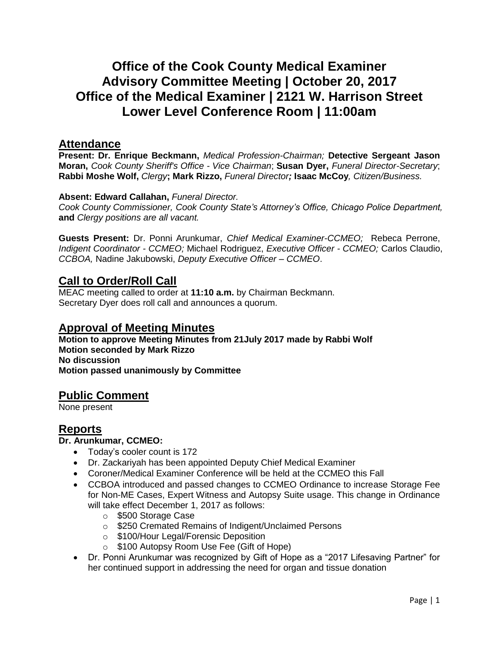# **Office of the Cook County Medical Examiner Advisory Committee Meeting | October 20, 2017 Office of the Medical Examiner | 2121 W. Harrison Street Lower Level Conference Room | 11:00am**

## **Attendance**

**Present: Dr. Enrique Beckmann,** *Medical Profession-Chairman;* **Detective Sergeant Jason Moran,** *Cook County Sheriff's Office - Vice Chairman*; **Susan Dyer,** *Funeral Director-Secretary*; **Rabbi Moshe Wolf,** *Clergy***; Mark Rizzo,** *Funeral Director;* **Isaac McCoy***, Citizen/Business.*

#### **Absent: Edward Callahan,** *Funeral Director.*

*Cook County Commissioner, Cook County State's Attorney's Office, Chicago Police Department,* **and** *Clergy positions are all vacant.*

**Guests Present:** Dr. Ponni Arunkumar, *Chief Medical Examiner-CCMEO;* Rebeca Perrone, *Indigent Coordinator - CCMEO;* Michael Rodriguez, *Executive Officer - CCMEO;* Carlos Claudio, *CCBOA,* Nadine Jakubowski, *Deputy Executive Officer – CCMEO*.

# **Call to Order/Roll Call**

MEAC meeting called to order at **11:10 a.m.** by Chairman Beckmann. Secretary Dyer does roll call and announces a quorum.

## **Approval of Meeting Minutes**

**Motion to approve Meeting Minutes from 21July 2017 made by Rabbi Wolf Motion seconded by Mark Rizzo No discussion Motion passed unanimously by Committee**

## **Public Comment**

None present

# **Reports**

#### **Dr. Arunkumar, CCMEO:**

- Today's cooler count is 172
- Dr. Zackariyah has been appointed Deputy Chief Medical Examiner
- Coroner/Medical Examiner Conference will be held at the CCMEO this Fall
- CCBOA introduced and passed changes to CCMEO Ordinance to increase Storage Fee for Non-ME Cases, Expert Witness and Autopsy Suite usage. This change in Ordinance will take effect December 1, 2017 as follows:
	- o \$500 Storage Case
	- o \$250 Cremated Remains of Indigent/Unclaimed Persons
	- o \$100/Hour Legal/Forensic Deposition
	- o \$100 Autopsy Room Use Fee (Gift of Hope)
- Dr. Ponni Arunkumar was recognized by Gift of Hope as a "2017 Lifesaving Partner" for her continued support in addressing the need for organ and tissue donation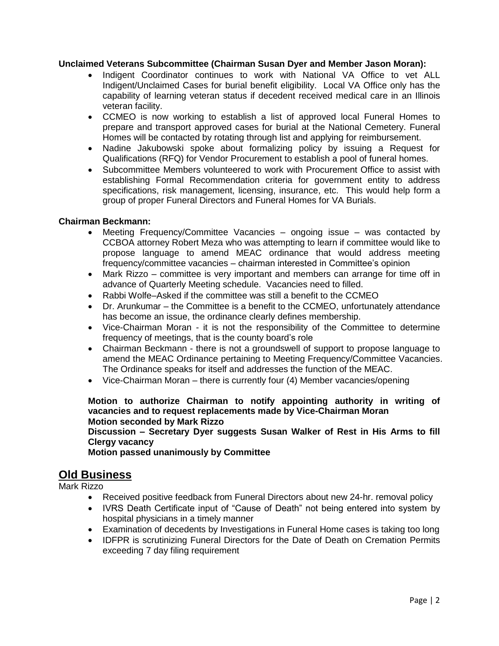#### **Unclaimed Veterans Subcommittee (Chairman Susan Dyer and Member Jason Moran):**

- Indigent Coordinator continues to work with National VA Office to vet ALL Indigent/Unclaimed Cases for burial benefit eligibility. Local VA Office only has the capability of learning veteran status if decedent received medical care in an Illinois veteran facility.
- CCMEO is now working to establish a list of approved local Funeral Homes to prepare and transport approved cases for burial at the National Cemetery. Funeral Homes will be contacted by rotating through list and applying for reimbursement.
- Nadine Jakubowski spoke about formalizing policy by issuing a Request for Qualifications (RFQ) for Vendor Procurement to establish a pool of funeral homes.
- Subcommittee Members volunteered to work with Procurement Office to assist with establishing Formal Recommendation criteria for government entity to address specifications, risk management, licensing, insurance, etc. This would help form a group of proper Funeral Directors and Funeral Homes for VA Burials.

#### **Chairman Beckmann:**

- Meeting Frequency/Committee Vacancies ongoing issue was contacted by CCBOA attorney Robert Meza who was attempting to learn if committee would like to propose language to amend MEAC ordinance that would address meeting frequency/committee vacancies – chairman interested in Committee's opinion
- Mark Rizzo committee is very important and members can arrange for time off in advance of Quarterly Meeting schedule. Vacancies need to filled.
- Rabbi Wolfe–Asked if the committee was still a benefit to the CCMEO
- Dr. Arunkumar the Committee is a benefit to the CCMEO, unfortunately attendance has become an issue, the ordinance clearly defines membership.
- Vice-Chairman Moran it is not the responsibility of the Committee to determine frequency of meetings, that is the county board's role
- Chairman Beckmann there is not a groundswell of support to propose language to amend the MEAC Ordinance pertaining to Meeting Frequency/Committee Vacancies. The Ordinance speaks for itself and addresses the function of the MEAC.
- Vice-Chairman Moran there is currently four (4) Member vacancies/opening

**Motion to authorize Chairman to notify appointing authority in writing of vacancies and to request replacements made by Vice-Chairman Moran Motion seconded by Mark Rizzo**

**Discussion – Secretary Dyer suggests Susan Walker of Rest in His Arms to fill Clergy vacancy** 

**Motion passed unanimously by Committee**

# **Old Business**

Mark Rizzo

- Received positive feedback from Funeral Directors about new 24-hr. removal policy
- IVRS Death Certificate input of "Cause of Death" not being entered into system by hospital physicians in a timely manner
- Examination of decedents by Investigations in Funeral Home cases is taking too long
- IDFPR is scrutinizing Funeral Directors for the Date of Death on Cremation Permits exceeding 7 day filing requirement